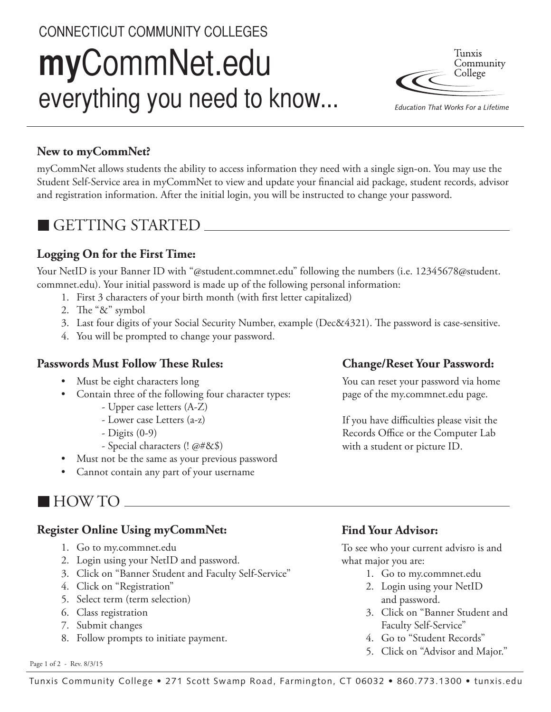# CONNECTICUT COMMUNITY COLLEGES **my**CommNet.edu everything you need to know...



Education That Works For a Lifetime

## **New to myCommNet?**

myCommNet allows students the ability to access information they need with a single sign-on. You may use the Student Self-Service area in myCommNet to view and update your financial aid package, student records, advisor and registration information. After the initial login, you will be instructed to change your password.

## GETTING STARTED

## **Logging On for the First Time:**

Your NetID is your Banner ID with "@student.commnet.edu" following the numbers (i.e. 12345678@student. commnet.edu). Your initial password is made up of the following personal information:

- 1. First 3 characters of your birth month (with first letter capitalized)
- 2. The "&" symbol
- 3. Last four digits of your Social Security Number, example (Dec&4321). The password is case-sensitive.
- 4. You will be prompted to change your password.

### **Passwords Must Follow These Rules:**

- Must be eight characters long
- Contain three of the following four character types: - Upper case letters (A-Z)
	- Lower case Letters (a-z)
	- Digits (0-9)
	- Special characters (! @#&\$)
- Must not be the same as your previous password
- Cannot contain any part of your username

## **Change/Reset Your Password:**

You can reset your password via home page of the my.commnet.edu page.

If you have difficulties please visit the Records Office or the Computer Lab with a student or picture ID.

## HOW TO

### **Register Online Using myCommNet:**

- 1. Go to my.commnet.edu
- 2. Login using your NetID and password.
- 3. Click on "Banner Student and Faculty Self-Service"
- 4. Click on "Registration"
- 5. Select term (term selection)
- 6. Class registration
- 7. Submit changes
- 8. Follow prompts to initiate payment.

#### Page 1 of 2 - Rev. 8/3/15

## **Find Your Advisor:**

To see who your current advisro is and what major you are:

- 1. Go to my.commnet.edu
- 2. Login using your NetID and password.
- 3. Click on "Banner Student and Faculty Self-Service"
- 4. Go to "Student Records"
- 5. Click on "Advisor and Major."